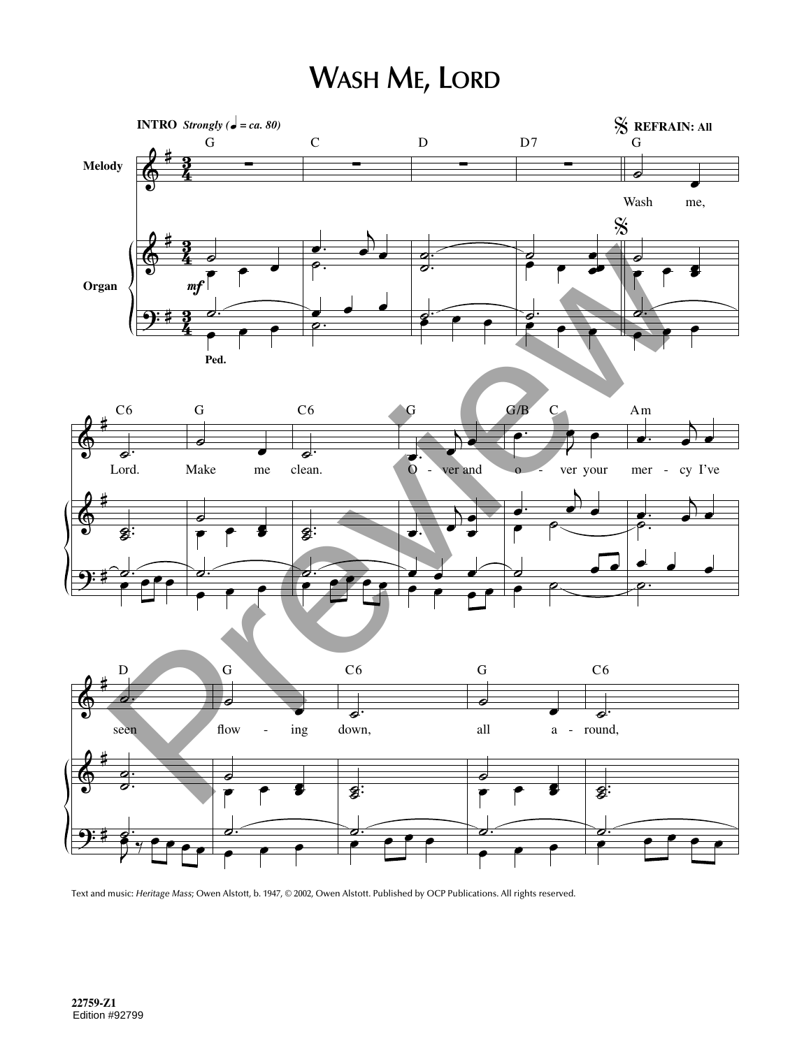## **WASH ME, LORD**



Text and music: *Heritage Mass*; Owen Alstott, b. 1947, © 2002, Owen Alstott. Published by OCP Publications. All rights reserved.